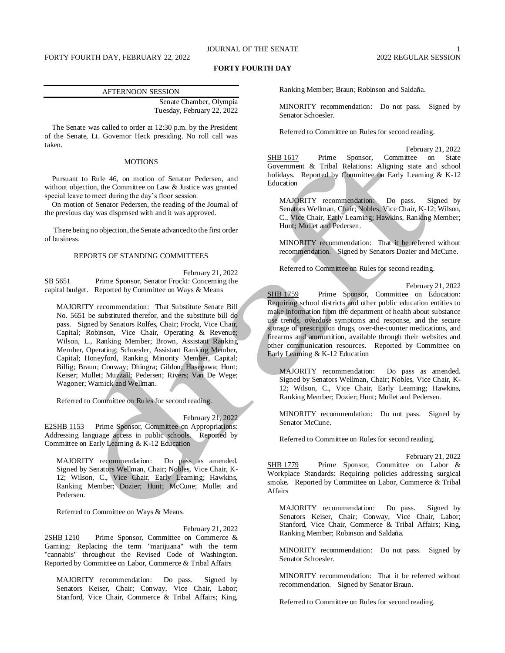# JOURNAL OF THE SENATE

## **FORTY FOURTH DAY**

### AFTERNOON SESSION

Senate Chamber, Olympia Tuesday, February 22, 2022

The Senate was called to order at 12:30 p.m. by the President of the Senate, Lt. Governor Heck presiding. No roll call was taken.

# **MOTIONS**

Pursuant to Rule 46, on motion of Senator Pedersen, and without objection, the Committee on Law & Justice was granted special leave to meet during the day's floor session.

On motion of Senator Pedersen, the reading of the Journal of the previous day was dispensed with and it was approved.

There being no objection, the Senate advanced to the first order of business.

# REPORTS OF STANDING COMMITTEES

February 21, 2022 SB 5651 Prime Sponsor, Senator Frockt: Concerning the capital budget. Reported by Committee on Ways & Means

MAJORITY recommendation: That Substitute Senate Bill No. 5651 be substituted therefor, and the substitute bill do pass. Signed by Senators Rolfes, Chair; Frockt, Vice Chair, Capital; Robinson, Vice Chair, Operating & Revenue; Wilson, L., Ranking Member; Brown, Assistant Ranking Member, Operating; Schoesler, Assistant Ranking Member, Capital; Honeyford, Ranking Minority Member, Capital; Billig; Braun; Conway; Dhingra; Gildon; Hasegawa; Hunt; Keiser; Mullet; Muzzall; Pedersen; Rivers; Van De Wege; Wagoner; Warnick and Wellman.

Referred to Committee on Rules for second reading.

February 21, 2022

E2SHB 1153 Prime Sponsor, Committee on Appropriations: Addressing language access in public schools. Reported by Committee on Early Learning & K-12 Education

MAJORITY recommendation: Do pass as amended. Signed by Senators Wellman, Chair; Nobles, Vice Chair, K-12; Wilson, C., Vice Chair, Early Learning; Hawkins, Ranking Member; Dozier; Hunt; McCune; Mullet and Pedersen.

Referred to Committee on Ways & Means.

February 21, 2022 2SHB 1210 Prime Sponsor, Committee on Commerce & Gaming: Replacing the term "marijuana" with the term "cannabis" throughout the Revised Code of Washington. Reported by Committee on Labor, Commerce & Tribal Affairs

MAJORITY recommendation: Do pass. Signed by Senators Keiser, Chair; Conway, Vice Chair, Labor; Stanford, Vice Chair, Commerce & Tribal Affairs; King,

Ranking Member; Braun; Robinson and Saldaña.

MINORITY recommendation: Do not pass. Signed by Senator Schoesler.

Referred to Committee on Rules for second reading.

February 21, 2022 SHB 1617 Prime Sponsor, Committee on State Government & Tribal Relations: Aligning state and school holidays. Reported by Committee on Early Learning & K-12 Education

MAJORITY recommendation: Do pass. Signed by Senators Wellman, Chair; Nobles, Vice Chair, K-12; Wilson, C., Vice Chair, Early Learning; Hawkins, Ranking Member; Hunt; Mullet and Pedersen.

MINORITY recommendation: That it be referred without recommendation. Signed by Senators Dozier and McCune.

Referred to Committee on Rules for second reading.

February 21, 2022 SHB 1759 Prime Sponsor, Committee on Education: Requiring school districts and other public education entities to make information from the department of health about substance use trends, overdose symptoms and response, and the secure storage of prescription drugs, over-the-counter medications, and firearms and ammunition, available through their websites and other communication resources. Reported by Committee on Early Learning & K-12 Education

MAJORITY recommendation: Do pass as amended. Signed by Senators Wellman, Chair; Nobles, Vice Chair, K-12; Wilson, C., Vice Chair, Early Learning; Hawkins, Ranking Member; Dozier; Hunt; Mullet and Pedersen.

MINORITY recommendation: Do not pass. Signed by Senator McCune.

Referred to Committee on Rules for second reading.

February 21, 2022

SHB 1779 Prime Sponsor, Committee on Labor & Workplace Standards: Requiring policies addressing surgical smoke. Reported by Committee on Labor, Commerce & Tribal Affairs

MAJORITY recommendation: Do pass. Signed by Senators Keiser, Chair; Conway, Vice Chair, Labor; Stanford, Vice Chair, Commerce & Tribal Affairs; King, Ranking Member; Robinson and Saldaña.

MINORITY recommendation: Do not pass. Signed by Senator Schoesler.

MINORITY recommendation: That it be referred without recommendation. Signed by Senator Braun.

Referred to Committee on Rules for second reading.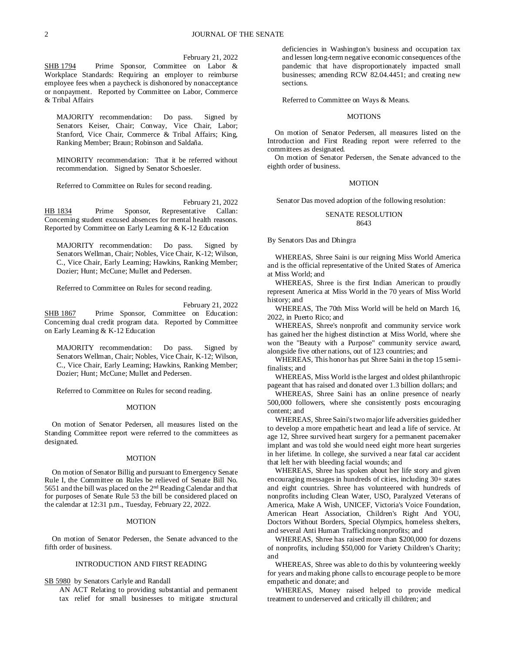February 21, 2022

SHB 1794 Prime Sponsor, Committee on Labor & Workplace Standards: Requiring an employer to reimburse employee fees when a paycheck is dishonored by nonacceptance or nonpayment. Reported by Committee on Labor, Commerce & Tribal Affairs

MAJORITY recommendation: Do pass. Signed by Senators Keiser, Chair; Conway, Vice Chair, Labor; Stanford, Vice Chair, Commerce & Tribal Affairs; King, Ranking Member; Braun; Robinson and Saldaña.

MINORITY recommendation: That it be referred without recommendation. Signed by Senator Schoesler.

Referred to Committee on Rules for second reading.

February 21, 2022

HB 1834 Prime Sponsor, Representative Callan: Concerning student excused absences for mental health reasons. Reported by Committee on Early Learning & K-12 Education

MAJORITY recommendation: Do pass. Signed by Senators Wellman, Chair; Nobles, Vice Chair, K-12; Wilson, C., Vice Chair, Early Learning; Hawkins, Ranking Member; Dozier; Hunt; McCune; Mullet and Pedersen.

Referred to Committee on Rules for second reading.

February 21, 2022

SHB 1867 Prime Sponsor, Committee on Education: Concerning dual credit program data. Reported by Committee on Early Learning & K-12 Education

MAJORITY recommendation: Do pass. Signed by Senators Wellman, Chair; Nobles, Vice Chair, K-12; Wilson, C., Vice Chair, Early Learning; Hawkins, Ranking Member; Dozier; Hunt; McCune; Mullet and Pedersen.

Referred to Committee on Rules for second reading.

# **MOTION**

On motion of Senator Pedersen, all measures listed on the Standing Committee report were referred to the committees as designated.

### **MOTION**

On motion of Senator Billig and pursuant to Emergency Senate Rule I, the Committee on Rules be relieved of Senate Bill No. 5651 and the bill was placed on the 2<sup>nd</sup> Reading Calendar and that for purposes of Senate Rule 53 the bill be considered placed on the calendar at 12:31 p.m., Tuesday, February 22, 2022.

### MOTION

On motion of Senator Pedersen, the Senate advanced to the fifth order of business.

# INTRODUCTION AND FIRST READING

SB 5980 by Senators Carlyle and Randall

AN ACT Relating to providing substantial and permanent tax relief for small businesses to mitigate structural deficiencies in Washington's business and occupation tax and lessen long-term negative economic consequences of the pandemic that have disproportionately impacted small businesses; amending RCW 82.04.4451; and creating new sections.

Referred to Committee on Ways & Means.

## **MOTIONS**

On motion of Senator Pedersen, all measures listed on the Introduction and First Reading report were referred to the committees as designated.

On motion of Senator Pedersen, the Senate advanced to the eighth order of business.

## MOTION

Senator Das moved adoption of the following resolution:

# SENATE RESOLUTION 8643

By Senators Das and Dhingra

WHEREAS, Shree Saini is our reigning Miss World America and is the official representative of the United States of America at Miss World; and

WHEREAS, Shree is the first Indian American to proudly represent America at Miss World in the 70 years of Miss World history; and

WHEREAS, The 70th Miss World will be held on March 16, 2022, in Puerto Rico; and

WHEREAS, Shree's nonprofit and community service work has gained her the highest distinction at Miss World, where she won the "Beauty with a Purpose" community service award, alongside five other nations, out of 123 countries; and

WHEREAS, This honor has put Shree Saini in the top 15 semifinalists; and

WHEREAS, Miss World is the largest and oldest philanthropic pageant that has raised and donated over 1.3 billion dollars; and

WHEREAS, Shree Saini has an online presence of nearly 500,000 followers, where she consistently posts encouraging content; and

WHEREAS, Shree Saini's two major life adversities guided her to develop a more empathetic heart and lead a life of service. At age 12, Shree survived heart surgery for a permanent pacemaker implant and was told she would need eight more heart surgeries in her lifetime. In college, she survived a near fatal car accident that left her with bleeding facial wounds; and

WHEREAS, Shree has spoken about her life story and given encouraging messages in hundreds of cities, including 30+ states and eight countries. Shree has volunteered with hundreds of nonprofits including Clean Water, USO, Paralyzed Veterans of America, Make A Wish, UNICEF, Victoria's Voice Foundation, American Heart Association, Children's Right And YOU, Doctors Without Borders, Special Olympics, homeless shelters, and several Anti Human Trafficking nonprofits; and

WHEREAS, Shree has raised more than \$200,000 for dozens of nonprofits, including \$50,000 for Variety Children's Charity; and

WHEREAS, Shree was able to do this by volunteering weekly for years and making phone calls to encourage people to be more empathetic and donate; and

WHEREAS, Money raised helped to provide medical treatment to underserved and critically ill children; and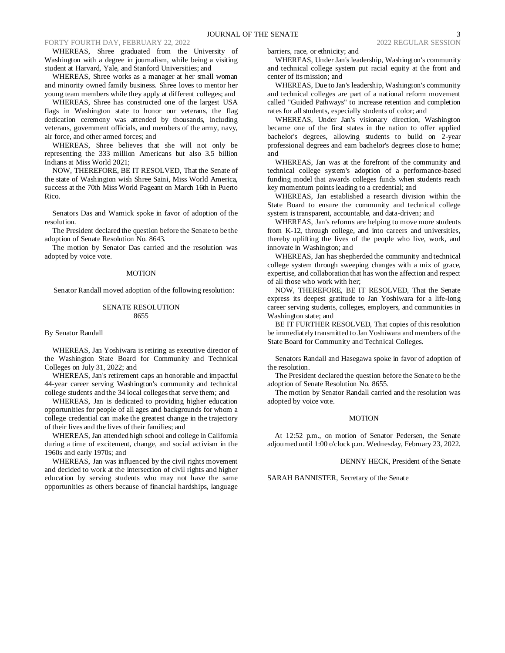#### FORTY FOURTH DAY, FEBRUARY 22, 2022 2022 REGULAR SESSION

WHEREAS, Shree graduated from the University of Washington with a degree in journalism, while being a visiting student at Harvard, Yale, and Stanford Universities; and

WHEREAS, Shree works as a manager at her small woman and minority owned family business. Shree loves to mentor her young team members while they apply at different colleges; and

WHEREAS, Shree has constructed one of the largest USA flags in Washington state to honor our veterans, the flag dedication ceremony was attended by thousands, including veterans, government officials, and members of the army, navy, air force, and other armed forces; and

WHEREAS, Shree believes that she will not only be representing the 333 million Americans but also 3.5 billion Indians at Miss World 2021;

NOW, THEREFORE, BE IT RESOLVED, That the Senate of the state of Washington wish Shree Saini, Miss World America, success at the 70th Miss World Pageant on March 16th in Puerto Rico.

Senators Das and Warnick spoke in favor of adoption of the resolution.

The President declared the question before the Senate to be the adoption of Senate Resolution No. 8643.

The motion by Senator Das carried and the resolution was adopted by voice vote.

#### MOTION

Senator Randall moved adoption of the following resolution:

# SENATE RESOLUTION 8655

#### By Senator Randall

WHEREAS, Jan Yoshiwara is retiring as executive director of the Washington State Board for Community and Technical Colleges on July 31, 2022; and

WHEREAS, Jan's retirement caps an honorable and impactful 44-year career serving Washington's community and technical college students and the 34 local colleges that serve them; and

WHEREAS, Jan is dedicated to providing higher education opportunities for people of all ages and backgrounds for whom a college credential can make the greatest change in the trajectory of their lives and the lives of their families; and

WHEREAS, Jan attended high school and college in California during a time of excitement, change, and social activism in the 1960s and early 1970s; and

WHEREAS, Jan was influenced by the civil rights movement and decided to work at the intersection of civil rights and higher education by serving students who may not have the same opportunities as others because of financial hardships, language barriers, race, or ethnicity; and

WHEREAS, Under Jan's leadership, Washington's community and technical college system put racial equity at the front and center of its mission; and

WHEREAS, Due to Jan's leadership, Washington's community and technical colleges are part of a national reform movement called "Guided Pathways" to increase retention and completion rates for all students, especially students of color; and

WHEREAS, Under Jan's visionary direction, Washington became one of the first states in the nation to offer applied bachelor's degrees, allowing students to build on 2-year professional degrees and earn bachelor's degrees close to home; and

WHEREAS, Jan was at the forefront of the community and technical college system's adoption of a performance-based funding model that awards colleges funds when students reach key momentum points leading to a credential; and

WHEREAS, Jan established a research division within the State Board to ensure the community and technical college system is transparent, accountable, and data-driven; and

WHEREAS, Jan's reforms are helping to move more students from K-12, through college, and into careers and universities, thereby uplifting the lives of the people who live, work, and innovate in Washington; and

WHEREAS, Jan has shepherded the community and technical college system through sweeping changes with a mix of grace, expertise, and collaboration that has won the affection and respect of all those who work with her;

NOW, THEREFORE, BE IT RESOLVED, That the Senate express its deepest gratitude to Jan Yoshiwara for a life-long career serving students, colleges, employers, and communities in Washington state; and

BE IT FURTHER RESOLVED, That copies of this resolution be immediately transmitted to Jan Yoshiwara and members of the State Board for Community and Technical Colleges.

Senators Randall and Hasegawa spoke in favor of adoption of the resolution.

The President declared the question before the Senate to be the adoption of Senate Resolution No. 8655.

The motion by Senator Randall carried and the resolution was adopted by voice vote.

#### MOTION

At 12:52 p.m., on motion of Senator Pedersen, the Senate adjourned until 1:00 o'clock p.m. Wednesday, February 23, 2022.

DENNY HECK, President of the Senate

SARAH BANNISTER, Secretary of the Senate